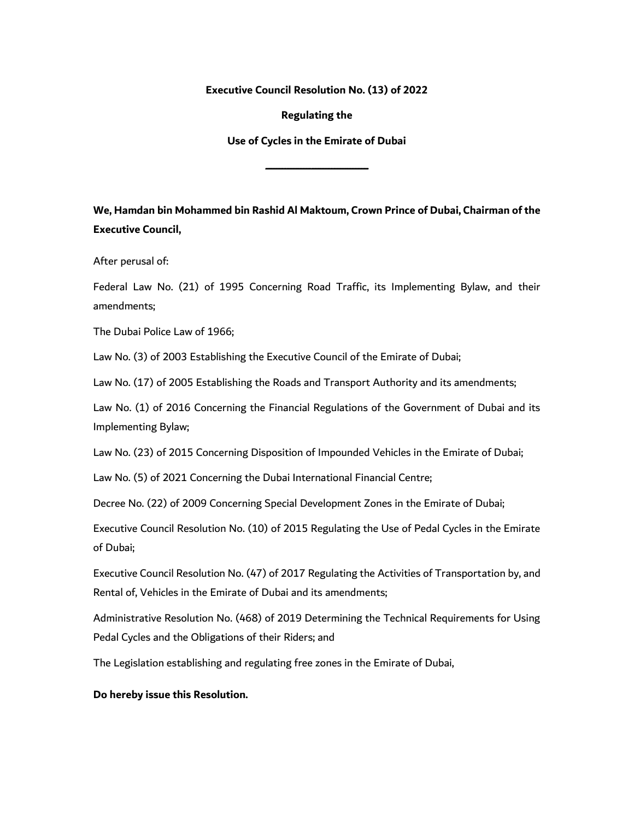**Executive Council Resolution No. (13) of 2022**

**Regulating the**

**Use of Cycles in the Emirate of Dubai**

**ـــــــــــــــــــــــــــــــــــــــــــــــــــــــــــــــــــــــــــــــــــــــــــــــــــــــــــــــــ**

**We, Hamdan bin Mohammed bin Rashid Al Maktoum, Crown Prince of Dubai, Chairman of the Executive Council,**

After perusal of:

Federal Law No. (21) of 1995 Concerning Road Traffic, its Implementing Bylaw, and their amendments;

The Dubai Police Law of 1966;

Law No. (3) of 2003 Establishing the Executive Council of the Emirate of Dubai;

Law No. (17) of 2005 Establishing the Roads and Transport Authority and its amendments;

Law No. (1) of 2016 Concerning the Financial Regulations of the Government of Dubai and its Implementing Bylaw;

Law No. (23) of 2015 Concerning Disposition of Impounded Vehicles in the Emirate of Dubai;

Law No. (5) of 2021 Concerning the Dubai International Financial Centre;

Decree No. (22) of 2009 Concerning Special Development Zones in the Emirate of Dubai;

Executive Council Resolution No. (10) of 2015 Regulating the Use of Pedal Cycles in the Emirate of Dubai;

Executive Council Resolution No. (47) of 2017 Regulating the Activities of Transportation by, and Rental of, Vehicles in the Emirate of Dubai and its amendments;

Administrative Resolution No. (468) of 2019 Determining the Technical Requirements for Using Pedal Cycles and the Obligations of their Riders; and

The Legislation establishing and regulating free zones in the Emirate of Dubai,

#### **Do hereby issue this Resolution.**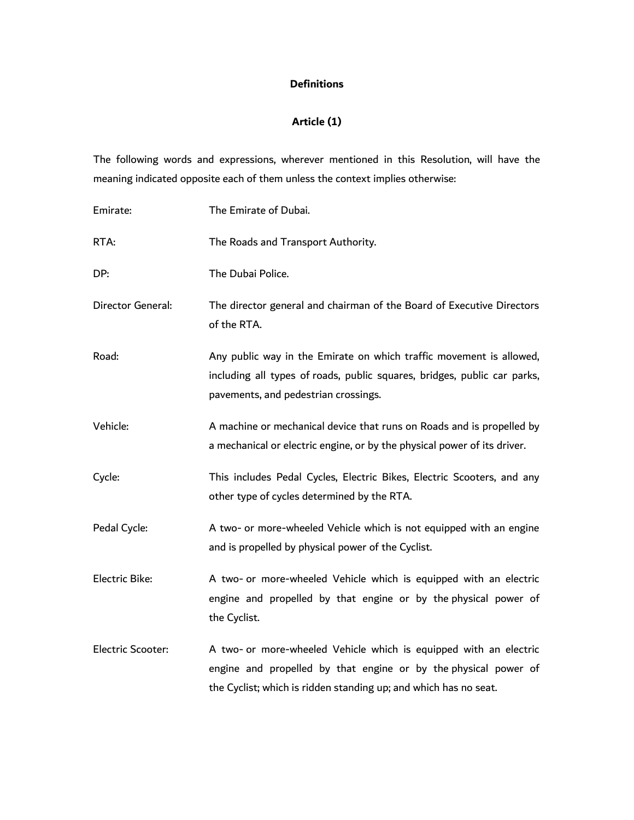## **Definitions**

# **Article (1)**

The following words and expressions, wherever mentioned in this Resolution, will have the meaning indicated opposite each of them unless the context implies otherwise:

| Emirate:          | The Emirate of Dubai.                                                                                                                                                                                    |
|-------------------|----------------------------------------------------------------------------------------------------------------------------------------------------------------------------------------------------------|
| RTA:              | The Roads and Transport Authority.                                                                                                                                                                       |
| DP:               | The Dubai Police.                                                                                                                                                                                        |
| Director General: | The director general and chairman of the Board of Executive Directors<br>of the RTA.                                                                                                                     |
| Road:             | Any public way in the Emirate on which traffic movement is allowed,<br>including all types of roads, public squares, bridges, public car parks,<br>pavements, and pedestrian crossings.                  |
| Vehicle:          | A machine or mechanical device that runs on Roads and is propelled by<br>a mechanical or electric engine, or by the physical power of its driver.                                                        |
| Cycle:            | This includes Pedal Cycles, Electric Bikes, Electric Scooters, and any<br>other type of cycles determined by the RTA.                                                                                    |
| Pedal Cycle:      | A two- or more-wheeled Vehicle which is not equipped with an engine<br>and is propelled by physical power of the Cyclist.                                                                                |
| Electric Bike:    | A two- or more-wheeled Vehicle which is equipped with an electric<br>engine and propelled by that engine or by the physical power of<br>the Cyclist.                                                     |
| Electric Scooter: | A two- or more-wheeled Vehicle which is equipped with an electric<br>engine and propelled by that engine or by the physical power of<br>the Cyclist; which is ridden standing up; and which has no seat. |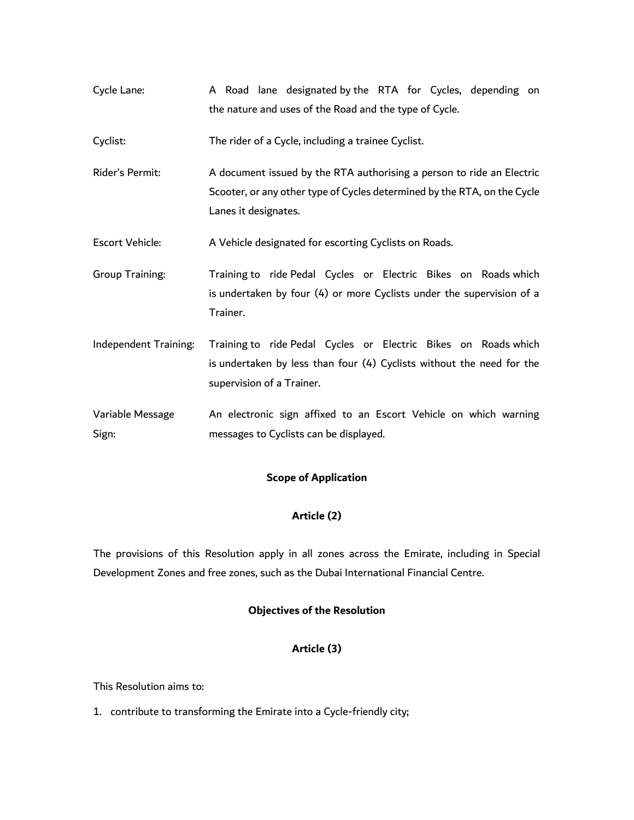Cycle Lane: A Road lane designated by the RTA for Cycles, depending on the nature and uses of the Road and the type of Cycle.

Cyclist: The rider of a Cycle, including a trainee Cyclist.

- Rider's Permit: A document issued by the RTA authorising a person to ride an Electric Scooter, or any other type of Cycles determined by the RTA, on the Cycle Lanes it designates.
- Escort Vehicle: A Vehicle designated for escorting Cyclists on Roads.
- Group Training: Training to ride Pedal Cycles or Electric Bikes on Roads which is undertaken by four (4) or more Cyclists under the supervision of a Trainer.
- Independent Training: Training to ride Pedal Cycles or Electric Bikes on Roads which is undertaken by less than four (4) Cyclists without the need for the supervision of a Trainer.
- Variable Message Sign: An electronic sign affixed to an Escort Vehicle on which warning messages to Cyclists can be displayed.

## **Scope of Application**

#### **Article (2)**

The provisions of this Resolution apply in all zones across the Emirate, including in Special Development Zones and free zones, such as the Dubai International Financial Centre.

#### **Objectives of the Resolution**

## **Article (3)**

This Resolution aims to:

1. contribute to transforming the Emirate into a Cycle-friendly city;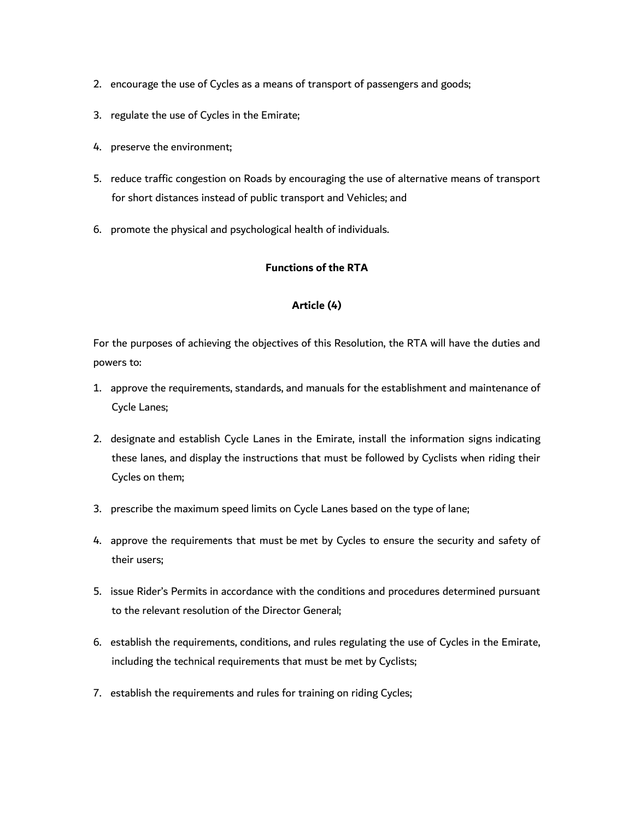- 2. encourage the use of Cycles as a means of transport of passengers and goods;
- 3. regulate the use of Cycles in the Emirate;
- 4. preserve the environment;
- 5. reduce traffic congestion on Roads by encouraging the use of alternative means of transport for short distances instead of public transport and Vehicles; and
- 6. promote the physical and psychological health of individuals.

## **Functions of the RTA**

#### **Article (4)**

For the purposes of achieving the objectives of this Resolution, the RTA will have the duties and powers to:

- 1. approve the requirements, standards, and manuals for the establishment and maintenance of Cycle Lanes;
- 2. designate and establish Cycle Lanes in the Emirate, install the information signs indicating these lanes, and display the instructions that must be followed by Cyclists when riding their Cycles on them;
- 3. prescribe the maximum speed limits on Cycle Lanes based on the type of lane;
- 4. approve the requirements that must be met by Cycles to ensure the security and safety of their users;
- 5. issue Rider's Permits in accordance with the conditions and procedures determined pursuant to the relevant resolution of the Director General;
- 6. establish the requirements, conditions, and rules regulating the use of Cycles in the Emirate, including the technical requirements that must be met by Cyclists;
- 7. establish the requirements and rules for training on riding Cycles;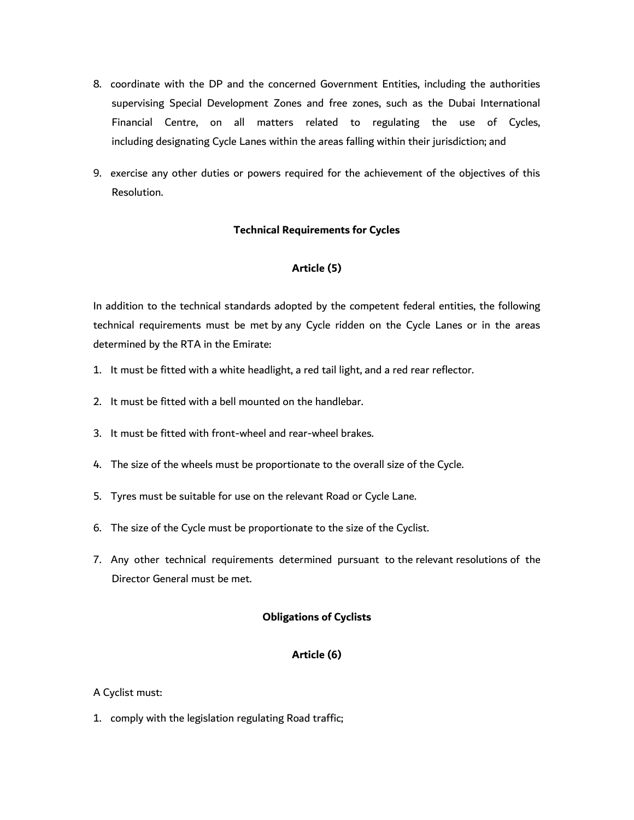- 8. coordinate with the DP and the concerned Government Entities, including the authorities supervising Special Development Zones and free zones, such as the Dubai International Financial Centre, on all matters related to regulating the use of Cycles, including designating Cycle Lanes within the areas falling within their jurisdiction; and
- 9. exercise any other duties or powers required for the achievement of the objectives of this Resolution.

### **Technical Requirements for Cycles**

### **Article (5)**

In addition to the technical standards adopted by the competent federal entities, the following technical requirements must be met by any Cycle ridden on the Cycle Lanes or in the areas determined by the RTA in the Emirate:

- 1. It must be fitted with a white headlight, a red tail light, and a red rear reflector.
- 2. It must be fitted with a bell mounted on the handlebar.
- 3. It must be fitted with front-wheel and rear-wheel brakes.
- 4. The size of the wheels must be proportionate to the overall size of the Cycle.
- 5. Tyres must be suitable for use on the relevant Road or Cycle Lane.
- 6. The size of the Cycle must be proportionate to the size of the Cyclist.
- 7. Any other technical requirements determined pursuant to the relevant resolutions of the Director General must be met.

#### **Obligations of Cyclists**

## **Article (6)**

#### A Cyclist must:

1. comply with the legislation regulating Road traffic;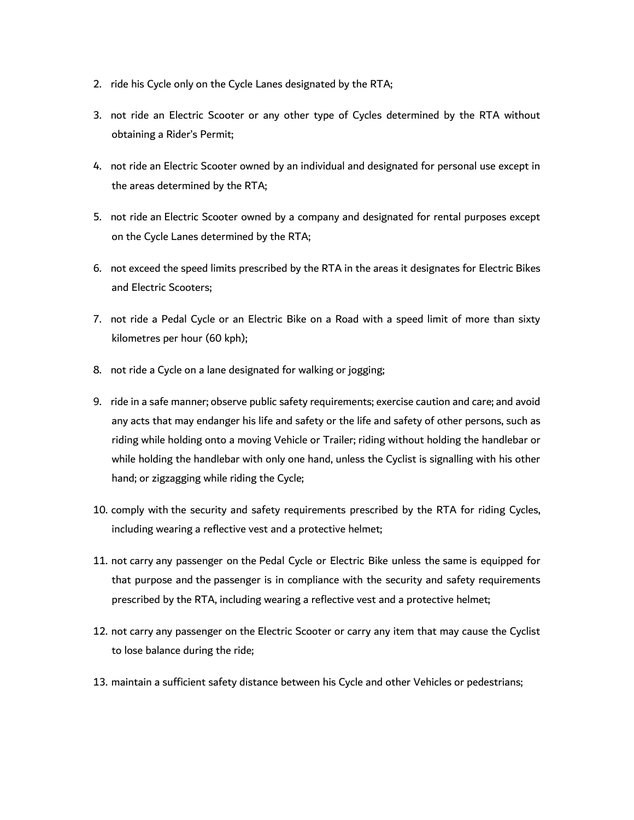- 2. ride his Cycle only on the Cycle Lanes designated by the RTA;
- 3. not ride an Electric Scooter or any other type of Cycles determined by the RTA without obtaining a Rider's Permit;
- 4. not ride an Electric Scooter owned by an individual and designated for personal use except in the areas determined by the RTA;
- 5. not ride an Electric Scooter owned by a company and designated for rental purposes except on the Cycle Lanes determined by the RTA;
- 6. not exceed the speed limits prescribed by the RTA in the areas it designates for Electric Bikes and Electric Scooters;
- 7. not ride a Pedal Cycle or an Electric Bike on a Road with a speed limit of more than sixty kilometres per hour (60 kph);
- 8. not ride a Cycle on a lane designated for walking or jogging;
- 9. ride in a safe manner; observe public safety requirements; exercise caution and care; and avoid any acts that may endanger his life and safety or the life and safety of other persons, such as riding while holding onto a moving Vehicle or Trailer; riding without holding the handlebar or while holding the handlebar with only one hand, unless the Cyclist is signalling with his other hand; or zigzagging while riding the Cycle;
- 10. comply with the security and safety requirements prescribed by the RTA for riding Cycles, including wearing a reflective vest and a protective helmet;
- 11. not carry any passenger on the Pedal Cycle or Electric Bike unless the same is equipped for that purpose and the passenger is in compliance with the security and safety requirements prescribed by the RTA, including wearing a reflective vest and a protective helmet;
- 12. not carry any passenger on the Electric Scooter or carry any item that may cause the Cyclist to lose balance during the ride;
- 13. maintain a sufficient safety distance between his Cycle and other Vehicles or pedestrians;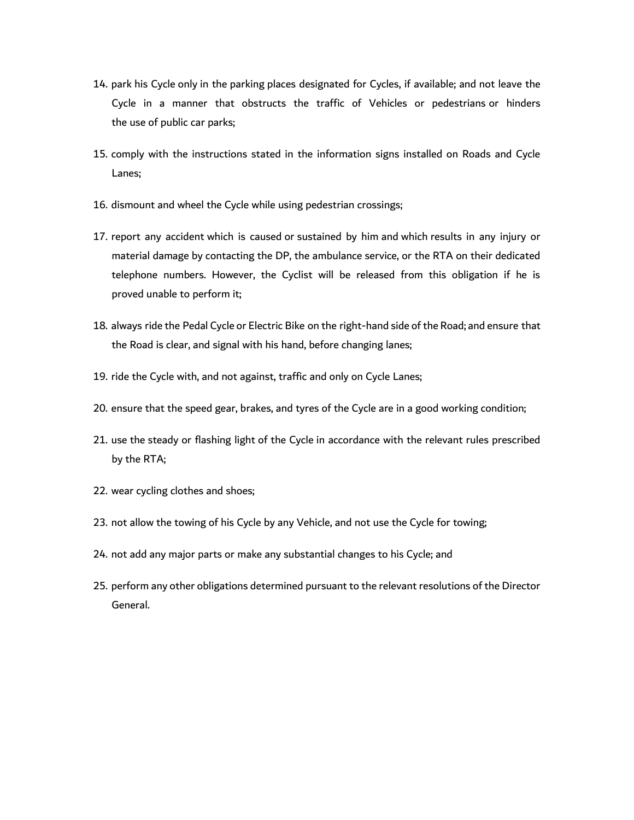- 14. park his Cycle only in the parking places designated for Cycles, if available; and not leave the Cycle in a manner that obstructs the traffic of Vehicles or pedestrians or hinders the use of public car parks;
- 15. comply with the instructions stated in the information signs installed on Roads and Cycle Lanes;
- 16. dismount and wheel the Cycle while using pedestrian crossings;
- 17. report any accident which is caused or sustained by him and which results in any injury or material damage by contacting the DP, the ambulance service, or the RTA on their dedicated telephone numbers. However, the Cyclist will be released from this obligation if he is proved unable to perform it;
- 18. always ride the Pedal Cycle or Electric Bike on the right-hand side of the Road; and ensure that the Road is clear, and signal with his hand, before changing lanes;
- 19. ride the Cycle with, and not against, traffic and only on Cycle Lanes;
- 20. ensure that the speed gear, brakes, and tyres of the Cycle are in a good working condition;
- 21. use the steady or flashing light of the Cycle in accordance with the relevant rules prescribed by the RTA;
- 22. wear cycling clothes and shoes;
- 23. not allow the towing of his Cycle by any Vehicle, and not use the Cycle for towing;
- 24. not add any major parts or make any substantial changes to his Cycle; and
- 25. perform any other obligations determined pursuant to the relevant resolutions of the Director General.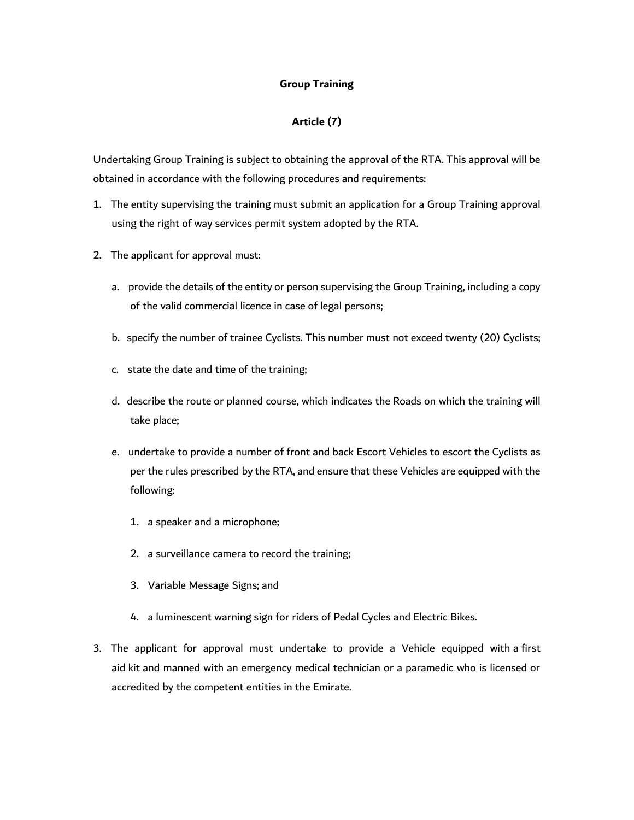### **Group Training**

## **Article (7)**

Undertaking Group Training is subject to obtaining the approval of the RTA. This approval will be obtained in accordance with the following procedures and requirements:

- 1. The entity supervising the training must submit an application for a Group Training approval using the right of way services permit system adopted by the RTA.
- 2. The applicant for approval must:
	- a. provide the details of the entity or person supervising the Group Training, including a copy of the valid commercial licence in case of legal persons;
	- b. specify the number of trainee Cyclists. This number must not exceed twenty (20) Cyclists;
	- c. state the date and time of the training;
	- d. describe the route or planned course, which indicates the Roads on which the training will take place;
	- e. undertake to provide a number of front and back Escort Vehicles to escort the Cyclists as per the rules prescribed by the RTA, and ensure that these Vehicles are equipped with the following:
		- 1. a speaker and a microphone;
		- 2. a surveillance camera to record the training;
		- 3. Variable Message Signs; and
		- 4. a luminescent warning sign for riders of Pedal Cycles and Electric Bikes.
- 3. The applicant for approval must undertake to provide a Vehicle equipped with a first aid kit and manned with an emergency medical technician or a paramedic who is licensed or accredited by the competent entities in the Emirate.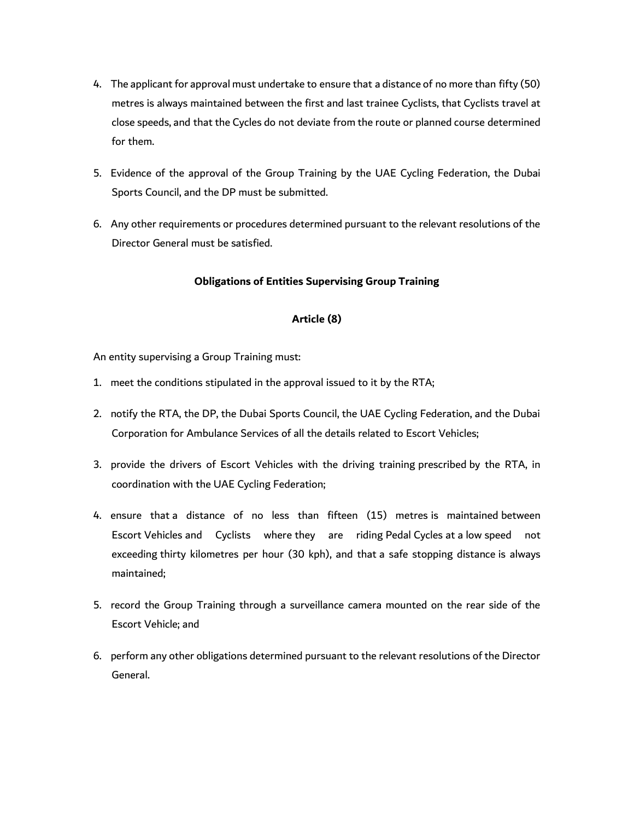- 4. The applicant for approval must undertake to ensure that a distance of no more than fifty (50) metres is always maintained between the first and last trainee Cyclists, that Cyclists travel at close speeds, and that the Cycles do not deviate from the route or planned course determined for them.
- 5. Evidence of the approval of the Group Training by the UAE Cycling Federation, the Dubai Sports Council, and the DP must be submitted.
- 6. Any other requirements or procedures determined pursuant to the relevant resolutions of the Director General must be satisfied.

### **Obligations of Entities Supervising Group Training**

## **Article (8)**

An entity supervising a Group Training must:

- 1. meet the conditions stipulated in the approval issued to it by the RTA;
- 2. notify the RTA, the DP, the Dubai Sports Council, the UAE Cycling Federation, and the Dubai Corporation for Ambulance Services of all the details related to Escort Vehicles;
- 3. provide the drivers of Escort Vehicles with the driving training prescribed by the RTA, in coordination with the UAE Cycling Federation;
- 4. ensure that a distance of no less than fifteen (15) metres is maintained between Escort Vehicles and Cyclists where they are riding Pedal Cycles at a low speed not exceeding thirty kilometres per hour (30 kph), and that a safe stopping distance is always maintained;
- 5. record the Group Training through a surveillance camera mounted on the rear side of the Escort Vehicle; and
- 6. perform any other obligations determined pursuant to the relevant resolutions of the Director General.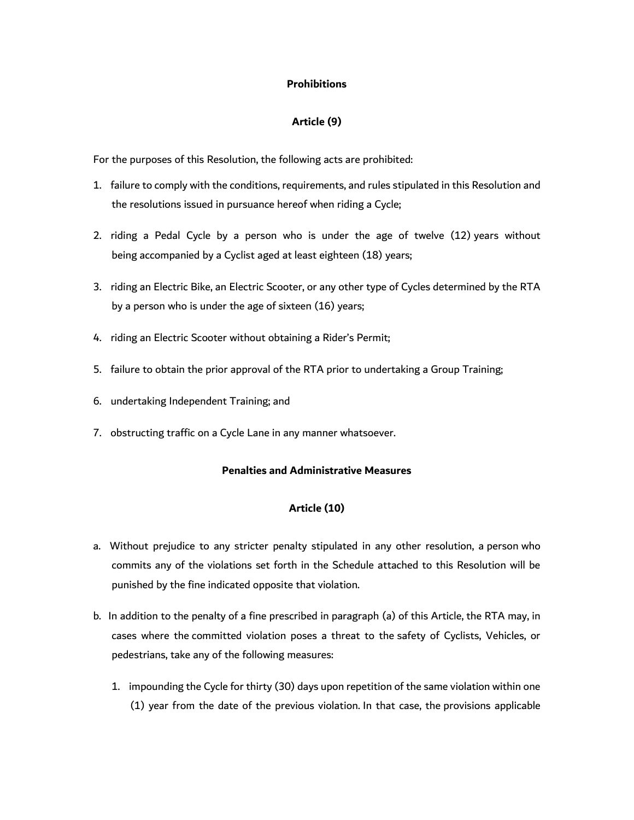### **Prohibitions**

## **Article (9)**

For the purposes of this Resolution, the following acts are prohibited:

- 1. failure to comply with the conditions, requirements, and rules stipulated in this Resolution and the resolutions issued in pursuance hereof when riding a Cycle;
- 2. riding a Pedal Cycle by a person who is under the age of twelve (12) years without being accompanied by a Cyclist aged at least eighteen (18) years;
- 3. riding an Electric Bike, an Electric Scooter, or any other type of Cycles determined by the RTA by a person who is under the age of sixteen (16) years;
- 4. riding an Electric Scooter without obtaining a Rider's Permit;
- 5. failure to obtain the prior approval of the RTA prior to undertaking a Group Training;
- 6. undertaking Independent Training; and
- 7. obstructing traffic on a Cycle Lane in any manner whatsoever.

### **Penalties and Administrative Measures**

#### **Article (10)**

- a. Without prejudice to any stricter penalty stipulated in any other resolution, a person who commits any of the violations set forth in the Schedule attached to this Resolution will be punished by the fine indicated opposite that violation.
- b. In addition to the penalty of a fine prescribed in paragraph (a) of this Article, the RTA may, in cases where the committed violation poses a threat to the safety of Cyclists, Vehicles, or pedestrians, take any of the following measures:
	- 1. impounding the Cycle for thirty (30) days upon repetition of the same violation within one (1) year from the date of the previous violation. In that case, the provisions applicable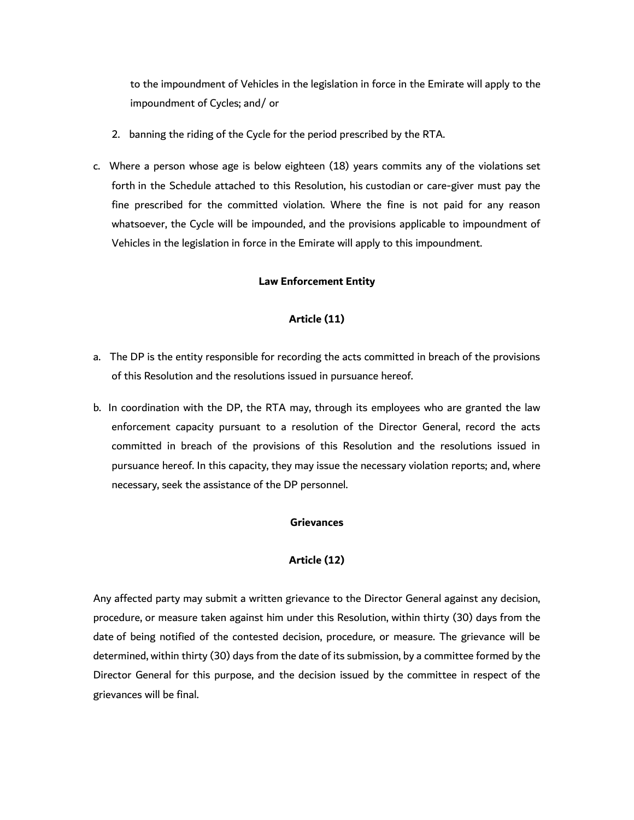to the impoundment of Vehicles in the legislation in force in the Emirate will apply to the impoundment of Cycles; and/ or

- 2. banning the riding of the Cycle for the period prescribed by the RTA.
- c. Where a person whose age is below eighteen (18) years commits any of the violations set forth in the Schedule attached to this Resolution, his custodian or care-giver must pay the fine prescribed for the committed violation. Where the fine is not paid for any reason whatsoever, the Cycle will be impounded, and the provisions applicable to impoundment of Vehicles in the legislation in force in the Emirate will apply to this impoundment.

#### **Law Enforcement Entity**

#### **Article (11)**

- a. The DP is the entity responsible for recording the acts committed in breach of the provisions of this Resolution and the resolutions issued in pursuance hereof.
- b. In coordination with the DP, the RTA may, through its employees who are granted the law enforcement capacity pursuant to a resolution of the Director General, record the acts committed in breach of the provisions of this Resolution and the resolutions issued in pursuance hereof. In this capacity, they may issue the necessary violation reports; and, where necessary, seek the assistance of the DP personnel.

#### **Grievances**

#### **Article (12)**

Any affected party may submit a written grievance to the Director General against any decision, procedure, or measure taken against him under this Resolution, within thirty (30) days from the date of being notified of the contested decision, procedure, or measure. The grievance will be determined, within thirty (30) days from the date of its submission, by a committee formed by the Director General for this purpose, and the decision issued by the committee in respect of the grievances will be final.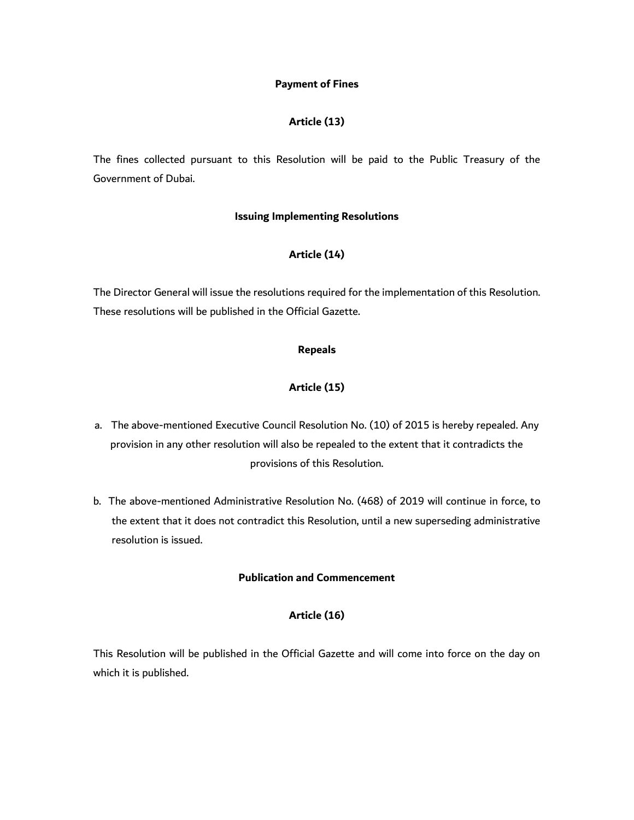#### **Payment of Fines**

## **Article (13)**

The fines collected pursuant to this Resolution will be paid to the Public Treasury of the Government of Dubai.

## **Issuing Implementing Resolutions**

## **Article (14)**

The Director General will issue the resolutions required for the implementation of this Resolution. These resolutions will be published in the Official Gazette.

#### **Repeals**

## **Article (15)**

- a. The above-mentioned Executive Council Resolution No. (10) of 2015 is hereby repealed. Any provision in any other resolution will also be repealed to the extent that it contradicts the provisions of this Resolution.
- b. The above-mentioned Administrative Resolution No. (468) of 2019 will continue in force, to the extent that it does not contradict this Resolution, until a new superseding administrative resolution is issued.

## **Publication and Commencement**

## **Article (16)**

This Resolution will be published in the Official Gazette and will come into force on the day on which it is published.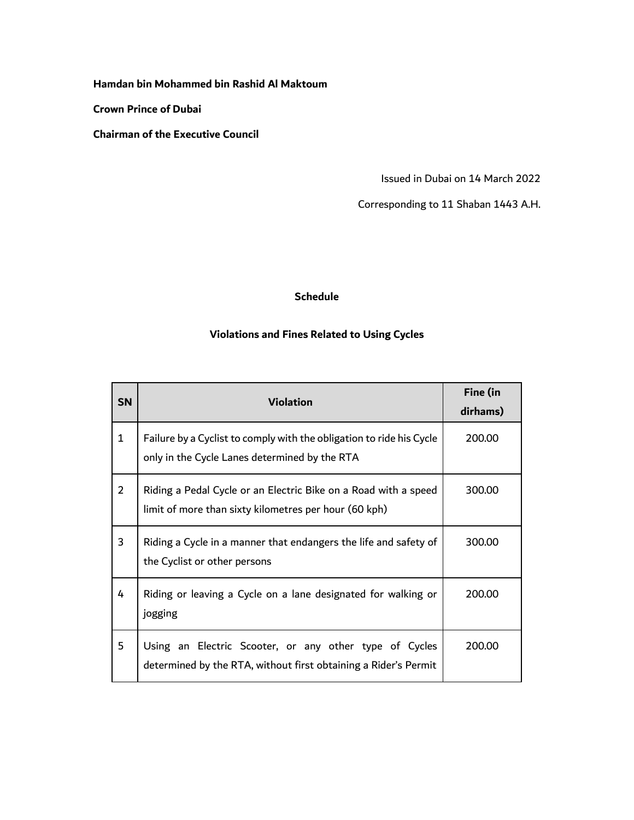## **Hamdan bin Mohammed bin Rashid Al Maktoum**

**Crown Prince of Dubai**

**Chairman of the Executive Council**

Issued in Dubai on 14 March 2022

Corresponding to 11 Shaban 1443 A.H.

## **Schedule**

# **Violations and Fines Related to Using Cycles**

| <b>SN</b>      | <b>Violation</b>                                                                                                          | Fine (in<br>dirhams) |
|----------------|---------------------------------------------------------------------------------------------------------------------------|----------------------|
| $\mathbf{1}$   | Failure by a Cyclist to comply with the obligation to ride his Cycle<br>only in the Cycle Lanes determined by the RTA     | 200.00               |
| $\overline{2}$ | Riding a Pedal Cycle or an Electric Bike on a Road with a speed<br>limit of more than sixty kilometres per hour (60 kph)  | 300.00               |
| 3              | Riding a Cycle in a manner that endangers the life and safety of<br>the Cyclist or other persons                          | 300.00               |
| 4              | Riding or leaving a Cycle on a lane designated for walking or<br>jogging                                                  | 200.00               |
| 5              | Using an Electric Scooter, or any other type of Cycles<br>determined by the RTA, without first obtaining a Rider's Permit | 200.00               |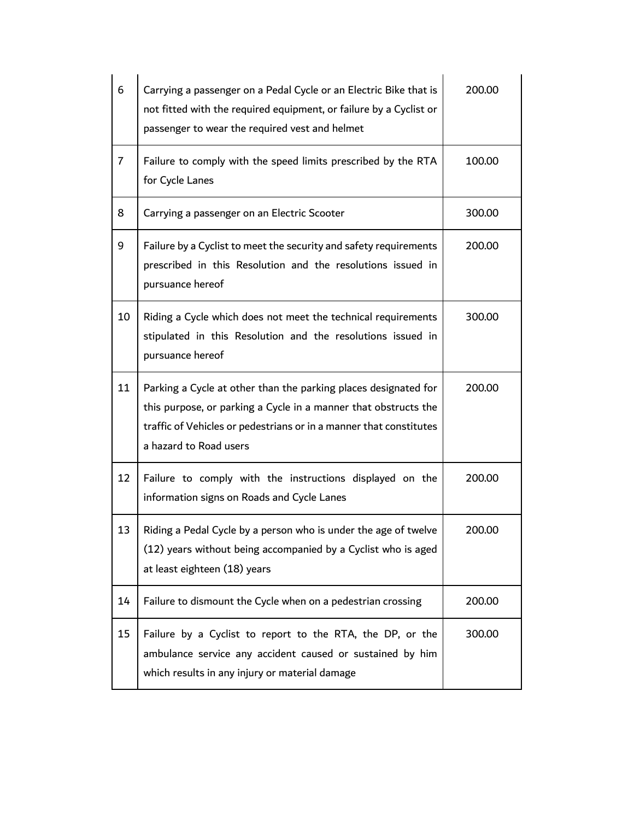| 6              | Carrying a passenger on a Pedal Cycle or an Electric Bike that is<br>not fitted with the required equipment, or failure by a Cyclist or<br>passenger to wear the required vest and helmet                                          | 200.00 |
|----------------|------------------------------------------------------------------------------------------------------------------------------------------------------------------------------------------------------------------------------------|--------|
| $\overline{7}$ | Failure to comply with the speed limits prescribed by the RTA<br>for Cycle Lanes                                                                                                                                                   | 100.00 |
| 8              | Carrying a passenger on an Electric Scooter                                                                                                                                                                                        | 300.00 |
| 9              | Failure by a Cyclist to meet the security and safety requirements<br>prescribed in this Resolution and the resolutions issued in<br>pursuance hereof                                                                               | 200.00 |
| 10             | Riding a Cycle which does not meet the technical requirements<br>stipulated in this Resolution and the resolutions issued in<br>pursuance hereof                                                                                   | 300.00 |
| 11             | Parking a Cycle at other than the parking places designated for<br>this purpose, or parking a Cycle in a manner that obstructs the<br>traffic of Vehicles or pedestrians or in a manner that constitutes<br>a hazard to Road users | 200.00 |
| 12             | Failure to comply with the instructions displayed on the<br>information signs on Roads and Cycle Lanes                                                                                                                             | 200.00 |
| 13             | Riding a Pedal Cycle by a person who is under the age of twelve<br>(12) years without being accompanied by a Cyclist who is aged<br>at least eighteen (18) years                                                                   | 200.00 |
| 14             | Failure to dismount the Cycle when on a pedestrian crossing                                                                                                                                                                        | 200.00 |
| 15             | Failure by a Cyclist to report to the RTA, the DP, or the<br>ambulance service any accident caused or sustained by him<br>which results in any injury or material damage                                                           | 300.00 |